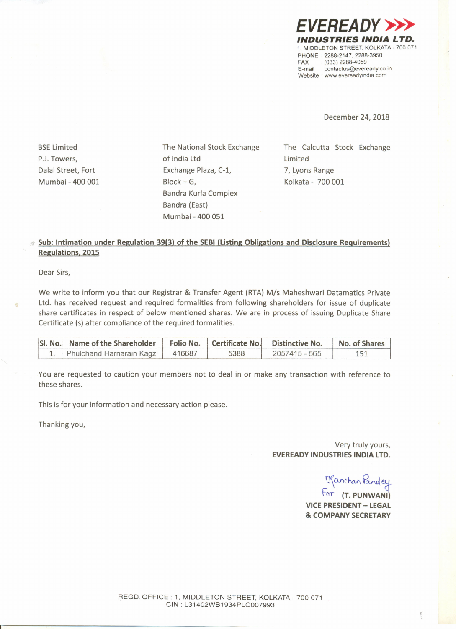

December 24, 2018

**BSE Limited** PJ. Towers, Dalal Street, Fort Mumbai - 400 001 The National Stock Exchange of India Ltd Exchange Plaza, C-l,  $Block - G$ , Bandra Kurla Complex Bandra (East) Mumbai - 400 051

The Calcutta Stock Exchange Limited 7, Lyons Range Kolkata - 700 001

## **Sub: Intimation under Regulation 39(3) of the SEal (listing Obligations and Disclosure Requirements) Regulations. 2015**

Dear Sirs,

We write to inform you that our Registrar & Transfer Agent (RTA) *Mis* Maheshwari Datamatics Private Ltd. has received request and required formalities from following shareholders for issue of duplicate share certificates in respect of below mentioned shares. We are in process of issuing Duplicate Share Certificate (s) after compliance of the required formalities.

| SI. No. Name of the Shareholder Folio No. Certificate No. Distinctive No. |      |               | No. of Shares |
|---------------------------------------------------------------------------|------|---------------|---------------|
| 1. Phulchand Harnarain Kagzi   416687                                     | 5388 | 2057415 - 565 |               |

You are requested to caution your members not to deal in or make any transaction with reference to these shares.

This is for your information and necessary action please.

Thanking you,

Very truly yours, **EVEREADY INDUSTRIES INDIA LTD.**

Tanchan Pande

Far **(T. PUNWANI) VICE PRESIDENT - LEGAL & COMPANY SECRETARY**

REGD. OFFICE: 1, MIDDLETON STREET, KOLKATA - 700 071 CIN : L31402WB1934PLC007993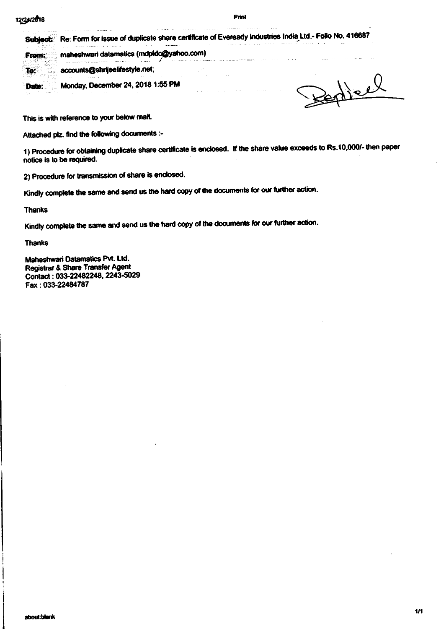## 12/24/2018

## Print

|                    | the company of the company of the company of the company of the company of the company of the company of the company of the company of the company of the company of the company of the company of the company of the company                                                                                                                                                                                                                                                | Re: Form for issue of duplicate share certificate of Eveready Industries India Ltd.- Folio No. 416687<br>continued a paper of the total continued and the |  |  |
|--------------------|------------------------------------------------------------------------------------------------------------------------------------------------------------------------------------------------------------------------------------------------------------------------------------------------------------------------------------------------------------------------------------------------------------------------------------------------------------------------------|-----------------------------------------------------------------------------------------------------------------------------------------------------------|--|--|
|                    | and the complex of the construction of the complex of the contract of the complex of the contract of the complex of the contract of the contract of the contract of the contract of the contract of the contract of the contra<br>maheshwari datamatics (mdpldc@yahoo.com)<br>the second company of the concentration of the area which field<br>.<br>والمتعاقلة فالانتشار ومعتقد والمتحدث والمتحدث والمتحال والمستعمل المتمود والمنافح المتناقص المستقول والمتماس والمستعمل |                                                                                                                                                           |  |  |
|                    | unts@shrijeelifestyle.net:<br>and the state of the state of the<br><b>CONTRACTOR</b><br>the company of the company of the                                                                                                                                                                                                                                                                                                                                                    | <b>Contract Contract</b>                                                                                                                                  |  |  |
| the program of the | Monday, December 24, 2018 1:55 PM<br>the process of the control of the con-<br><b>Contract Contract Contract</b>                                                                                                                                                                                                                                                                                                                                                             | <b>ALCOHOL: 4</b>                                                                                                                                         |  |  |
|                    |                                                                                                                                                                                                                                                                                                                                                                                                                                                                              |                                                                                                                                                           |  |  |

This is with reference to your below mail.

Attached plz. find the following documents :-

1) Procedure for obtaining duplicate share certificate is enclosed. If the share value exceeds to Rs.10,000/- then paper notice is to be required.

2) Procedure for transmission of share is enclosed.

Kindly complete the same and send us the hard copy of the documents for our further action.

**Thanks** 

Kindly complete the same and send us the hard copy of the documents for our further action.

**Thanks** 

Maheshwari Datamatics Pvt. Ltd. Registrar & Share Transfer Agent Contact: 033-22482248, 2243-5029 Fax: 033-22484787